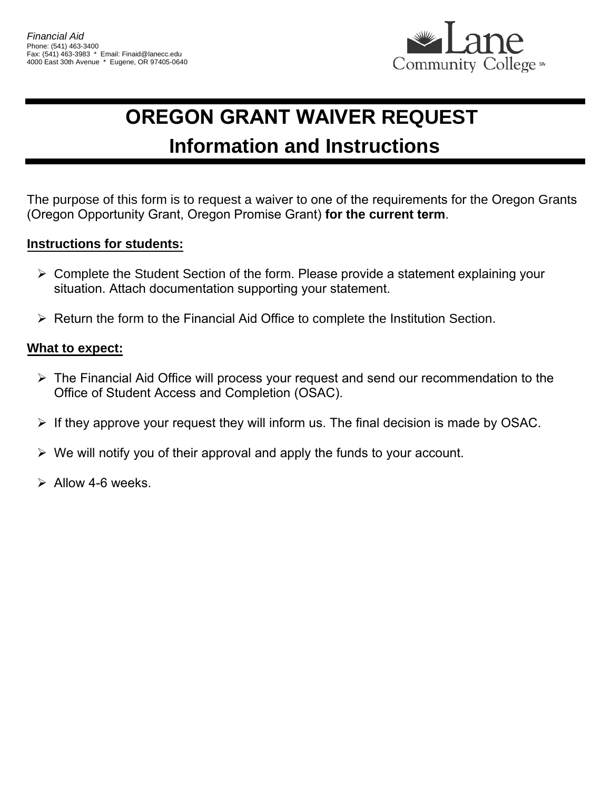

## **OREGON GRANT WAIVER REQUEST Information and Instructions**

The purpose of this form is to request a waiver to one of the requirements for the Oregon Grants (Oregon Opportunity Grant, Oregon Promise Grant) **for the current term**.

## **Instructions for students:**

- $\triangleright$  Complete the Student Section of the form. Please provide a statement explaining your situation. Attach documentation supporting your statement.
- $\triangleright$  Return the form to the Financial Aid Office to complete the Institution Section.

## **What to expect:**

- $\triangleright$  The Financial Aid Office will process your request and send our recommendation to the Office of Student Access and Completion (OSAC).
- $\triangleright$  If they approve your request they will inform us. The final decision is made by OSAC.
- $\triangleright$  We will notify you of their approval and apply the funds to your account.
- $\triangleright$  Allow 4-6 weeks.